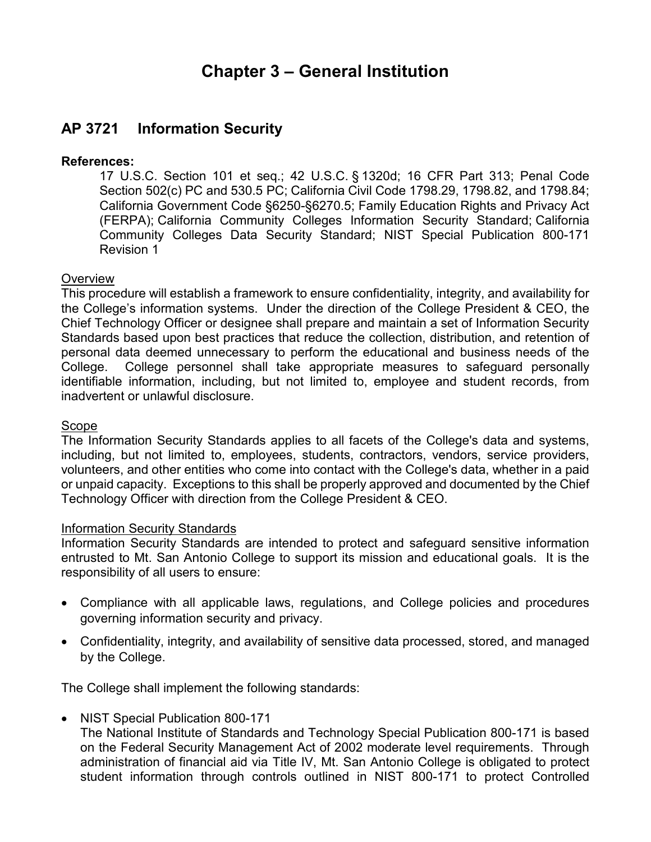# **Chapter 3 – General Institution**

# **AP 3721 Information Security**

### **References:**

 17 U.S.C. Section 101 et seq.; 42 U.S.C. § 1320d; 16 CFR Part 313; Penal Code Section 502(c) PC and 530.5 PC; California Civil Code 1798.29, 1798.82, and 1798.84; California Government Code §6250-§6270.5; Family Education Rights and Privacy Act (FERPA); California Community Colleges Information Security Standard; California Community Colleges Data Security Standard; NIST Special Publication 800-171 Revision 1

#### **Overview**

 This procedure will establish a framework to ensure confidentiality, integrity, and availability for the College's information systems. Under the direction of the College President & CEO, the Chief Technology Officer or designee shall prepare and maintain a set of Information Security Standards based upon best practices that reduce the collection, distribution, and retention of personal data deemed unnecessary to perform the educational and business needs of the College. identifiable information, including, but not limited to, employee and student records, from inadvertent or unlawful disclosure. College personnel shall take appropriate measures to safeguard personally

#### Scope

 The Information Security Standards applies to all facets of the College's data and systems, including, but not limited to, employees, students, contractors, vendors, service providers, volunteers, and other entities who come into contact with the College's data, whether in a paid or unpaid capacity. Exceptions to this shall be properly approved and documented by the Chief Technology Officer with direction from the College President & CEO.

#### Information Security Standards

 Information Security Standards are intended to protect and safeguard sensitive information entrusted to Mt. San Antonio College to support its mission and educational goals. It is the responsibility of all users to ensure:

- Compliance with all applicable laws, regulations, and College policies and procedures governing information security and privacy.
- • Confidentiality, integrity, and availability of sensitive data processed, stored, and managed by the College.

The College shall implement the following standards:

• NIST Special Publication 800-171

 The National Institute of Standards and Technology Special Publication 800-171 is based on the Federal Security Management Act of 2002 moderate level requirements. Through administration of financial aid via Title IV, Mt. San Antonio College is obligated to protect student information through controls outlined in NIST 800-171 to protect Controlled